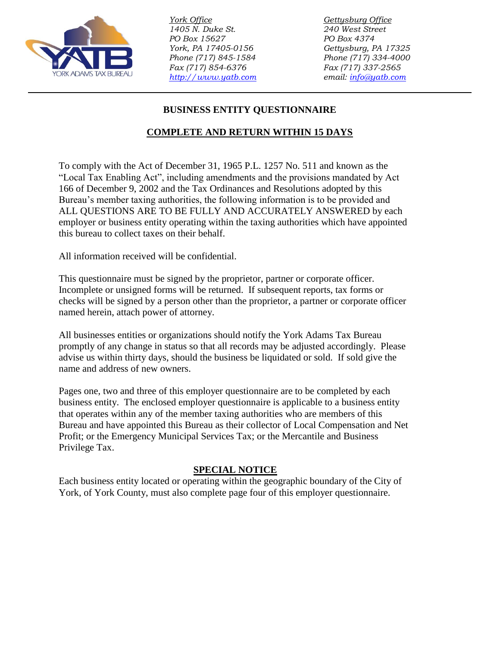

*York Office Gettysburg Office 1405 N. Duke St. 240 West Street PO Box 15627 PO Box 4374 York, PA 17405-0156 Gettysburg, PA 17325 Phone (717) 845-1584 Phone (717) 334-4000 Fax (717) 854-6376 Fax (717) 337-2565 [http://www.yatb.com](http://www.yatb.com/) email: [info@yatb.com](mailto:info@yatb.com)*

# **BUSINESS ENTITY QUESTIONNAIRE**

## **COMPLETE AND RETURN WITHIN 15 DAYS**

To comply with the Act of December 31, 1965 P.L. 1257 No. 511 and known as the "Local Tax Enabling Act", including amendments and the provisions mandated by Act 166 of December 9, 2002 and the Tax Ordinances and Resolutions adopted by this Bureau's member taxing authorities, the following information is to be provided and ALL QUESTIONS ARE TO BE FULLY AND ACCURATELY ANSWERED by each employer or business entity operating within the taxing authorities which have appointed this bureau to collect taxes on their behalf.

All information received will be confidential.

This questionnaire must be signed by the proprietor, partner or corporate officer. Incomplete or unsigned forms will be returned. If subsequent reports, tax forms or checks will be signed by a person other than the proprietor, a partner or corporate officer named herein, attach power of attorney.

All businesses entities or organizations should notify the York Adams Tax Bureau promptly of any change in status so that all records may be adjusted accordingly. Please advise us within thirty days, should the business be liquidated or sold. If sold give the name and address of new owners.

Pages one, two and three of this employer questionnaire are to be completed by each business entity. The enclosed employer questionnaire is applicable to a business entity that operates within any of the member taxing authorities who are members of this Bureau and have appointed this Bureau as their collector of Local Compensation and Net Profit; or the Emergency Municipal Services Tax; or the Mercantile and Business Privilege Tax.

## **SPECIAL NOTICE**

Each business entity located or operating within the geographic boundary of the City of York, of York County, must also complete page four of this employer questionnaire.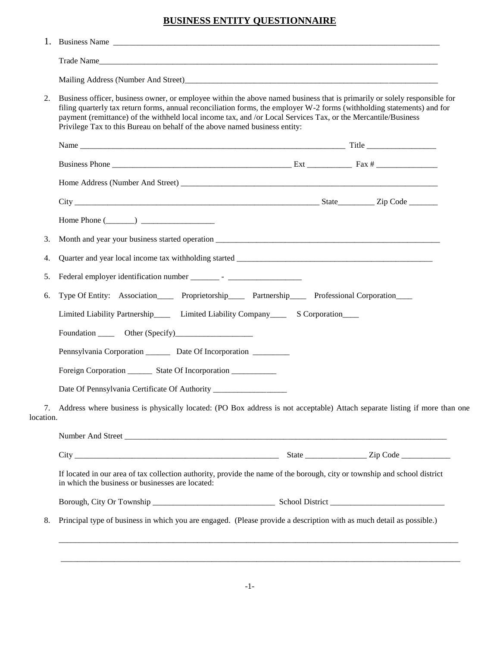### **BUSINESS ENTITY QUESTIONNAIRE**

| 2.        | Business officer, business owner, or employee within the above named business that is primarily or solely responsible for<br>filing quarterly tax return forms, annual reconciliation forms, the employer W-2 forms (withholding statements) and for<br>payment (remittance) of the withheld local income tax, and /or Local Services Tax, or the Mercantile/Business<br>Privilege Tax to this Bureau on behalf of the above named business entity: |  |  |  |
|-----------|-----------------------------------------------------------------------------------------------------------------------------------------------------------------------------------------------------------------------------------------------------------------------------------------------------------------------------------------------------------------------------------------------------------------------------------------------------|--|--|--|
|           |                                                                                                                                                                                                                                                                                                                                                                                                                                                     |  |  |  |
|           |                                                                                                                                                                                                                                                                                                                                                                                                                                                     |  |  |  |
|           |                                                                                                                                                                                                                                                                                                                                                                                                                                                     |  |  |  |
|           |                                                                                                                                                                                                                                                                                                                                                                                                                                                     |  |  |  |
|           | Home Phone $(\_\_)$                                                                                                                                                                                                                                                                                                                                                                                                                                 |  |  |  |
| 3.        |                                                                                                                                                                                                                                                                                                                                                                                                                                                     |  |  |  |
| 4.        |                                                                                                                                                                                                                                                                                                                                                                                                                                                     |  |  |  |
| 5.        |                                                                                                                                                                                                                                                                                                                                                                                                                                                     |  |  |  |
| 6.        | Type Of Entity: Association_____ Proprietorship____ Partnership____ Professional Corporation____                                                                                                                                                                                                                                                                                                                                                    |  |  |  |
|           | Limited Liability Partnership_______ Limited Liability Company_________ S Corporation_____                                                                                                                                                                                                                                                                                                                                                          |  |  |  |
|           |                                                                                                                                                                                                                                                                                                                                                                                                                                                     |  |  |  |
|           | Pennsylvania Corporation _________ Date Of Incorporation __________                                                                                                                                                                                                                                                                                                                                                                                 |  |  |  |
|           | Foreign Corporation __________ State Of Incorporation ___________________________                                                                                                                                                                                                                                                                                                                                                                   |  |  |  |
|           | Date Of Pennsylvania Certificate Of Authority ___________________________________                                                                                                                                                                                                                                                                                                                                                                   |  |  |  |
| location. | Address where business is physically located: (PO Box address is not acceptable) Attach separate listing if more than one                                                                                                                                                                                                                                                                                                                           |  |  |  |
|           | Number And Street                                                                                                                                                                                                                                                                                                                                                                                                                                   |  |  |  |
|           |                                                                                                                                                                                                                                                                                                                                                                                                                                                     |  |  |  |
|           | If located in our area of tax collection authority, provide the name of the borough, city or township and school district<br>in which the business or businesses are located:                                                                                                                                                                                                                                                                       |  |  |  |
|           |                                                                                                                                                                                                                                                                                                                                                                                                                                                     |  |  |  |
|           | Principal type of business in which you are engaged. (Please provide a description with as much detail as possible.)                                                                                                                                                                                                                                                                                                                                |  |  |  |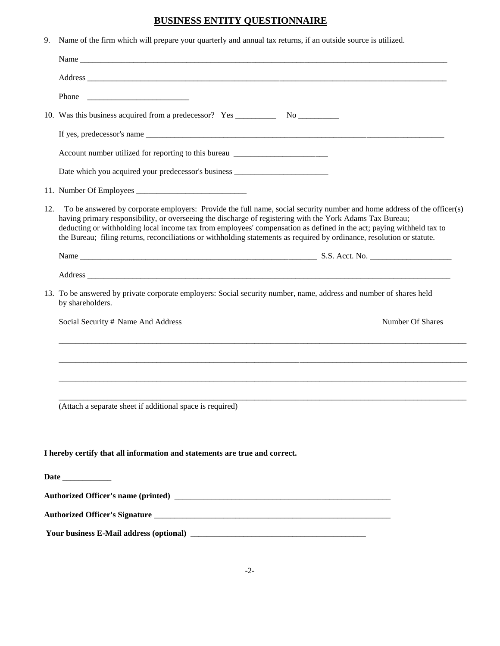### **BUSINESS ENTITY QUESTIONNAIRE**

9. Name of the firm which will prepare your quarterly and annual tax returns, if an outside source is utilized.

|     | Account number utilized for reporting to this bureau ___________________________                                                                                                                                                                                                                                                                                                                                                                                                       |  |  |
|-----|----------------------------------------------------------------------------------------------------------------------------------------------------------------------------------------------------------------------------------------------------------------------------------------------------------------------------------------------------------------------------------------------------------------------------------------------------------------------------------------|--|--|
|     | Date which you acquired your predecessor's business _____________________________                                                                                                                                                                                                                                                                                                                                                                                                      |  |  |
|     |                                                                                                                                                                                                                                                                                                                                                                                                                                                                                        |  |  |
| 12. | To be answered by corporate employers: Provide the full name, social security number and home address of the officer(s)<br>having primary responsibility, or overseeing the discharge of registering with the York Adams Tax Bureau;<br>deducting or withholding local income tax from employees' compensation as defined in the act; paying withheld tax to<br>the Bureau; filing returns, reconciliations or withholding statements as required by ordinance, resolution or statute. |  |  |
|     |                                                                                                                                                                                                                                                                                                                                                                                                                                                                                        |  |  |
|     |                                                                                                                                                                                                                                                                                                                                                                                                                                                                                        |  |  |
|     | 13. To be answered by private corporate employers: Social security number, name, address and number of shares held<br>by shareholders.                                                                                                                                                                                                                                                                                                                                                 |  |  |
|     | Number Of Shares<br>Social Security # Name And Address                                                                                                                                                                                                                                                                                                                                                                                                                                 |  |  |
|     |                                                                                                                                                                                                                                                                                                                                                                                                                                                                                        |  |  |
|     | (Attach a separate sheet if additional space is required)                                                                                                                                                                                                                                                                                                                                                                                                                              |  |  |
|     |                                                                                                                                                                                                                                                                                                                                                                                                                                                                                        |  |  |
|     | I hereby certify that all information and statements are true and correct.                                                                                                                                                                                                                                                                                                                                                                                                             |  |  |
|     |                                                                                                                                                                                                                                                                                                                                                                                                                                                                                        |  |  |
|     |                                                                                                                                                                                                                                                                                                                                                                                                                                                                                        |  |  |
|     |                                                                                                                                                                                                                                                                                                                                                                                                                                                                                        |  |  |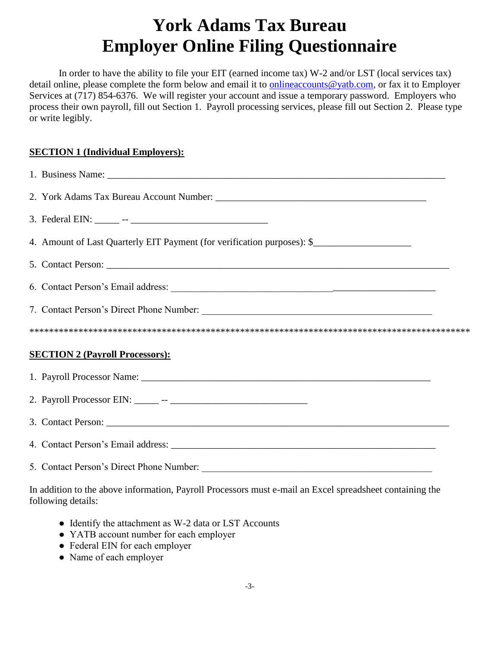# **York Adams Tax Bureau Employer Online Filing Questionnaire**

In order to have the ability to file your EIT (earned income tax) W-2 and/or LST (local services tax) detail online, please complete the form below and email it to [onlineaccounts@yatb.com,](mailto:onlineaccounts@yatb.com) or fax it to Employer Services at (717) 854-6376. We will register your account and issue a temporary password. Employers who process their own payroll, fill out Section 1. Payroll processing services, please fill out Section 2. Please type or write legibly.

### **SECTION 1 (Individual Employers):**

| 4. Amount of Last Quarterly EIT Payment (for verification purposes): \$ |  |  |  |  |  |
|-------------------------------------------------------------------------|--|--|--|--|--|
|                                                                         |  |  |  |  |  |
|                                                                         |  |  |  |  |  |
|                                                                         |  |  |  |  |  |
|                                                                         |  |  |  |  |  |
| <b>SECTION 2 (Payroll Processors):</b>                                  |  |  |  |  |  |
|                                                                         |  |  |  |  |  |
|                                                                         |  |  |  |  |  |
|                                                                         |  |  |  |  |  |
|                                                                         |  |  |  |  |  |
|                                                                         |  |  |  |  |  |

In addition to the above information, Payroll Processors must e-mail an Excel spreadsheet containing the following details:

- Identify the attachment as W-2 data or LST Accounts
- YATB account number for each employer
- Federal EIN for each employer
- Name of each employer